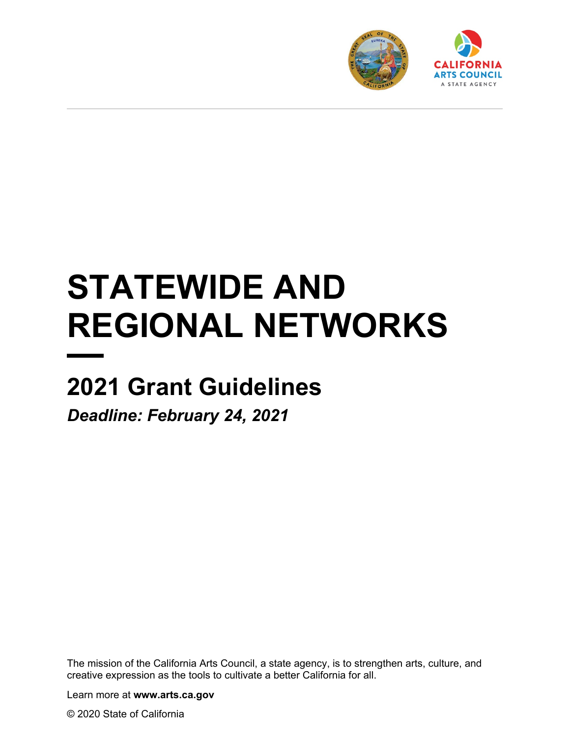



# **STATEWIDE AND REGIONAL NETWORKS**

# **2021 Grant Guidelines**

*Deadline: February 24, 2021*

The mission of the California Arts Council, a state agency, is to strengthen arts, culture, and creative expression as the tools to cultivate a better California for all.

Learn more at **www.arts.ca.gov**

© 2020 State of California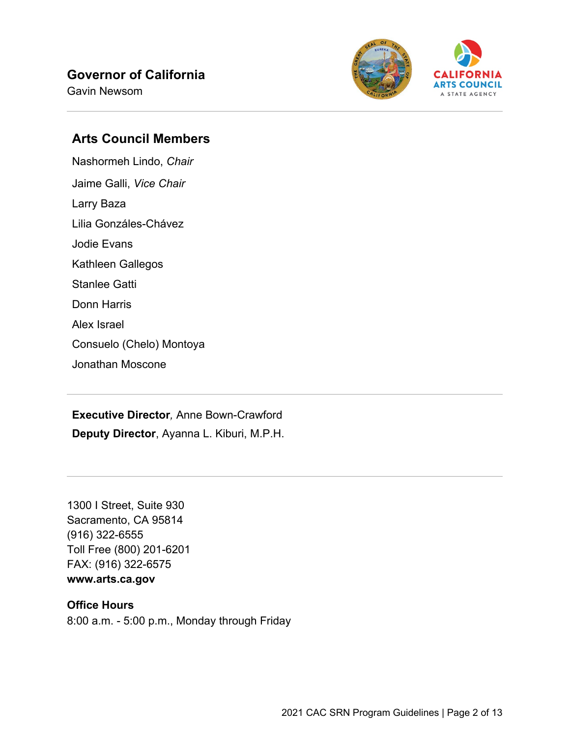#### **Governor of California**

Gavin Newsom



#### **Arts Council Members**

Nashormeh Lindo, *Chair* Jaime Galli, *Vice Chair* Larry Baza Lilia Gonzáles-Chávez Jodie Evans Kathleen Gallegos Stanlee Gatti Donn Harris Alex Israel Consuelo (Chelo) Montoya Jonathan Moscone

**Executive Director***,* Anne Bown-Crawford **Deputy Director**, Ayanna L. Kiburi, M.P.H.

1300 I Street, Suite 930 Sacramento, CA 95814 (916) 322-6555 Toll Free (800) 201-6201 FAX: (916) 322-6575

# **www.arts.ca.gov**

#### **Office Hours**

8:00 a.m. - 5:00 p.m., Monday through Friday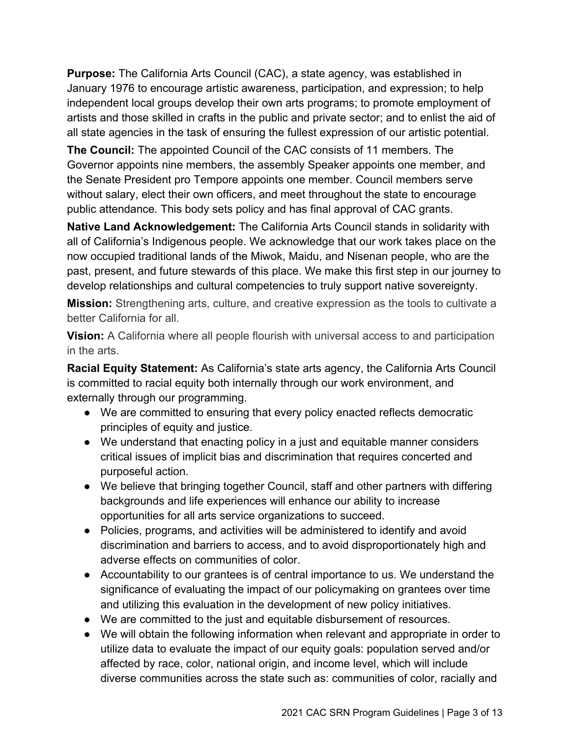**Purpose:** The California Arts Council (CAC), a state agency, was established in January 1976 to encourage artistic awareness, participation, and expression; to help independent local groups develop their own arts programs; to promote employment of artists and those skilled in crafts in the public and private sector; and to enlist the aid of all state agencies in the task of ensuring the fullest expression of our artistic potential.

**The Council:** The appointed Council of the CAC consists of 11 members. The Governor appoints nine members, the assembly Speaker appoints one member, and the Senate President pro Tempore appoints one member. Council members serve without salary, elect their own officers, and meet throughout the state to encourage public attendance. This body sets policy and has final approval of CAC grants.

**Native Land Acknowledgement:** The California Arts Council stands in solidarity with all of California's Indigenous people. We acknowledge that our work takes place on the now occupied traditional lands of the Miwok, Maidu, and Nisenan people, who are the past, present, and future stewards of this place. We make this first step in our journey to develop relationships and cultural competencies to truly support native sovereignty.

**Mission:** Strengthening arts, culture, and creative expression as the tools to cultivate a better California for all.

**Vision:** A California where all people flourish with universal access to and participation in the arts.

**Racial Equity Statement:** As California's state arts agency, the California Arts Council is committed to racial equity both internally through our work environment, and externally through our programming.

- We are committed to ensuring that every policy enacted reflects democratic principles of equity and justice.
- We understand that enacting policy in a just and equitable manner considers critical issues of implicit bias and discrimination that requires concerted and purposeful action.
- We believe that bringing together Council, staff and other partners with differing backgrounds and life experiences will enhance our ability to increase opportunities for all arts service organizations to succeed.
- Policies, programs, and activities will be administered to identify and avoid discrimination and barriers to access, and to avoid disproportionately high and adverse effects on communities of color.
- Accountability to our grantees is of central importance to us. We understand the significance of evaluating the impact of our policymaking on grantees over time and utilizing this evaluation in the development of new policy initiatives.
- We are committed to the just and equitable disbursement of resources.
- We will obtain the following information when relevant and appropriate in order to utilize data to evaluate the impact of our equity goals: population served and/or affected by race, color, national origin, and income level, which will include diverse communities across the state such as: communities of color, racially and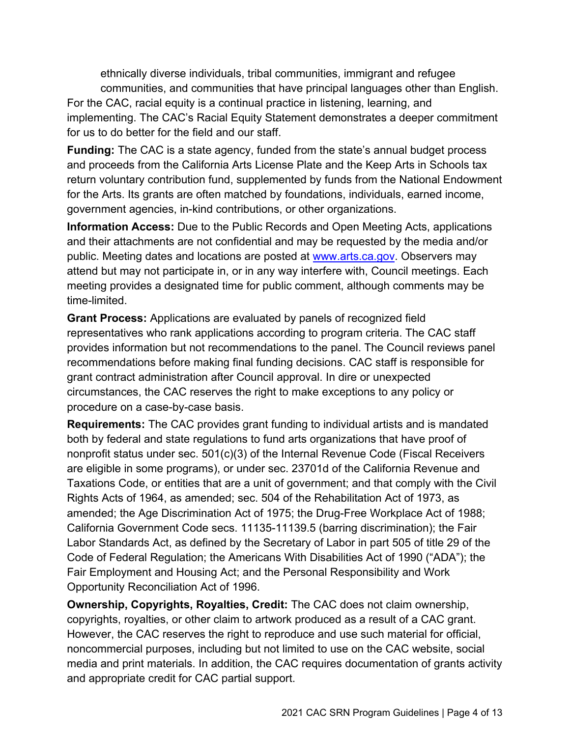ethnically diverse individuals, tribal communities, immigrant and refugee communities, and communities that have principal languages other than English. For the CAC, racial equity is a continual practice in listening, learning, and implementing. The CAC's Racial Equity Statement demonstrates a deeper commitment for us to do better for the field and our staff.

**Funding:** The CAC is a state agency, funded from the state's annual budget process and proceeds from the California Arts License Plate and the Keep Arts in Schools tax return voluntary contribution fund, supplemented by funds from the National Endowment for the Arts. Its grants are often matched by foundations, individuals, earned income, government agencies, in-kind contributions, or other organizations.

**Information Access:** Due to the Public Records and Open Meeting Acts, applications and their attachments are not confidential and may be requested by the media and/or public. Meeting dates and locations are posted at [www.arts.ca.gov.](http://www.arts.ca.gov/) Observers may attend but may not participate in, or in any way interfere with, Council meetings. Each meeting provides a designated time for public comment, although comments may be time-limited.

**Grant Process:** Applications are evaluated by panels of recognized field representatives who rank applications according to program criteria. The CAC staff provides information but not recommendations to the panel. The Council reviews panel recommendations before making final funding decisions. CAC staff is responsible for grant contract administration after Council approval. In dire or unexpected circumstances, the CAC reserves the right to make exceptions to any policy or procedure on a case-by-case basis.

**Requirements:** The CAC provides grant funding to individual artists and is mandated both by federal and state regulations to fund arts organizations that have proof of nonprofit status under sec. 501(c)(3) of the Internal Revenue Code (Fiscal Receivers are eligible in some programs), or under sec. 23701d of the California Revenue and Taxations Code, or entities that are a unit of government; and that comply with the Civil Rights Acts of 1964, as amended; sec. 504 of the Rehabilitation Act of 1973, as amended; the Age Discrimination Act of 1975; the Drug-Free Workplace Act of 1988; California Government Code secs. 11135-11139.5 (barring discrimination); the Fair Labor Standards Act, as defined by the Secretary of Labor in part 505 of title 29 of the Code of Federal Regulation; the Americans With Disabilities Act of 1990 ("ADA"); the Fair Employment and Housing Act; and the Personal Responsibility and Work Opportunity Reconciliation Act of 1996.

**Ownership, Copyrights, Royalties, Credit:** The CAC does not claim ownership, copyrights, royalties, or other claim to artwork produced as a result of a CAC grant. However, the CAC reserves the right to reproduce and use such material for official, noncommercial purposes, including but not limited to use on the CAC website, social media and print materials. In addition, the CAC requires documentation of grants activity and appropriate credit for CAC partial support.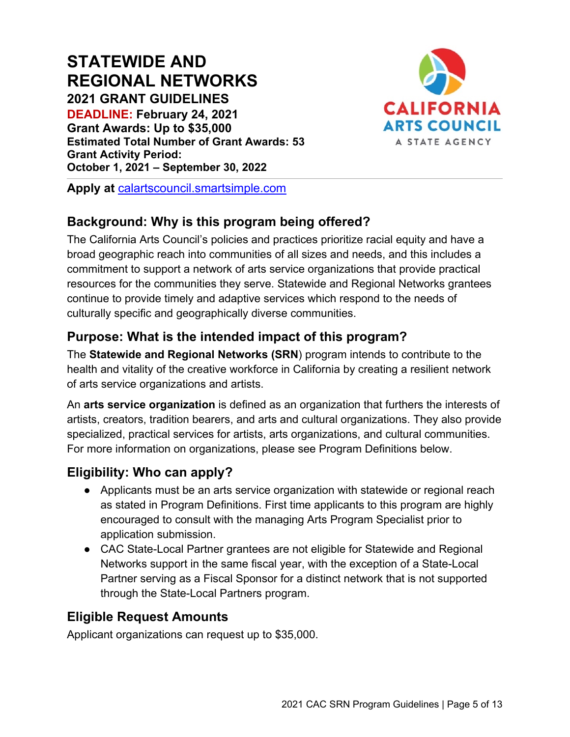# **STATEWIDE AND REGIONAL NETWORKS 2021 GRANT GUIDELINES**

**DEADLINE: February 24, 2021 Grant Awards: Up to \$35,000 Estimated Total Number of Grant Awards: 53 Grant Activity Period: October 1, 2021 – September 30, 2022**



**Apply at** [calartscouncil.smartsimple.com](https://calartscouncil.smartsimple.com/)

# **Background: Why is this program being offered?**

The California Arts Council's policies and practices prioritize racial equity and have a broad geographic reach into communities of all sizes and needs, and this includes a commitment to support a network of arts service organizations that provide practical resources for the communities they serve. Statewide and Regional Networks grantees continue to provide timely and adaptive services which respond to the needs of culturally specific and geographically diverse communities.

# **Purpose: What is the intended impact of this program?**

The **Statewide and Regional Networks (SRN**) program intends to contribute to the health and vitality of the creative workforce in California by creating a resilient network of arts service organizations and artists.

An **arts service organization** is defined as an organization that furthers the interests of artists, creators, tradition bearers, and arts and cultural organizations. They also provide specialized, practical services for artists, arts organizations, and cultural communities. For more information on organizations, please see Program Definitions below.

# **Eligibility: Who can apply?**

- Applicants must be an arts service organization with statewide or regional reach as stated in Program Definitions. First time applicants to this program are highly encouraged to consult with the managing Arts Program Specialist prior to application submission.
- CAC State-Local Partner grantees are not eligible for Statewide and Regional Networks support in the same fiscal year, with the exception of a State-Local Partner serving as a Fiscal Sponsor for a distinct network that is not supported through the State-Local Partners program.

#### **Eligible Request Amounts**

Applicant organizations can request up to \$35,000.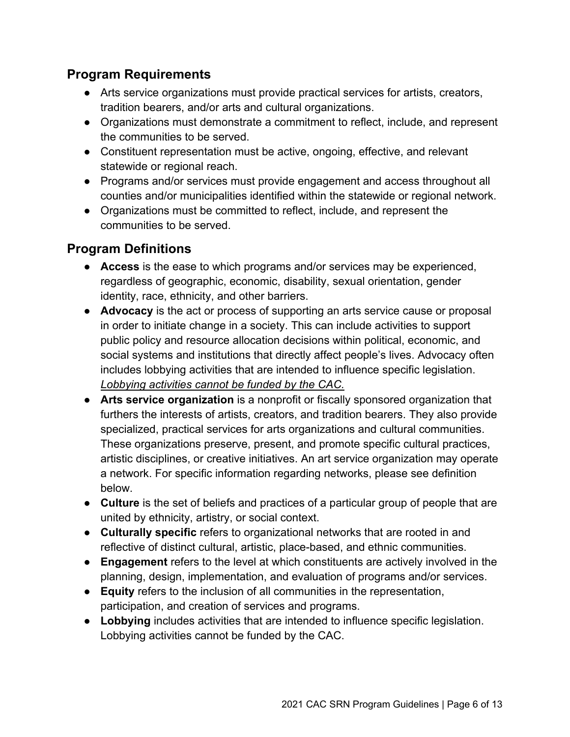#### **Program Requirements**

- Arts service organizations must provide practical services for artists, creators, tradition bearers, and/or arts and cultural organizations.
- Organizations must demonstrate a commitment to reflect, include, and represent the communities to be served.
- Constituent representation must be active, ongoing, effective, and relevant statewide or regional reach.
- Programs and/or services must provide engagement and access throughout all counties and/or municipalities identified within the statewide or regional network.
- Organizations must be committed to reflect, include, and represent the communities to be served.

#### **Program Definitions**

- **Access** is the ease to which programs and/or services may be experienced, regardless of geographic, economic, disability, sexual orientation, gender identity, race, ethnicity, and other barriers.
- **Advocacy** is the act or process of supporting an arts service cause or proposal in order to initiate change in a society. This can include activities to support public policy and resource allocation decisions within political, economic, and social systems and institutions that directly affect people's lives. Advocacy often includes lobbying activities that are intended to influence specific legislation. *Lobbying activities cannot be funded by the CAC.*
- **Arts service organization** is a nonprofit or fiscally sponsored organization that furthers the interests of artists, creators, and tradition bearers. They also provide specialized, practical services for arts organizations and cultural communities. These organizations preserve, present, and promote specific cultural practices, artistic disciplines, or creative initiatives. An art service organization may operate a network. For specific information regarding networks, please see definition below.
- **Culture** is the set of beliefs and practices of a particular group of people that are united by ethnicity, artistry, or social context.
- **Culturally specific** refers to organizational networks that are rooted in and reflective of distinct cultural, artistic, place-based, and ethnic communities.
- **Engagement** refers to the level at which constituents are actively involved in the planning, design, implementation, and evaluation of programs and/or services.
- **Equity** refers to the inclusion of all communities in the representation, participation, and creation of services and programs.
- **Lobbying** includes activities that are intended to influence specific legislation. Lobbying activities cannot be funded by the CAC.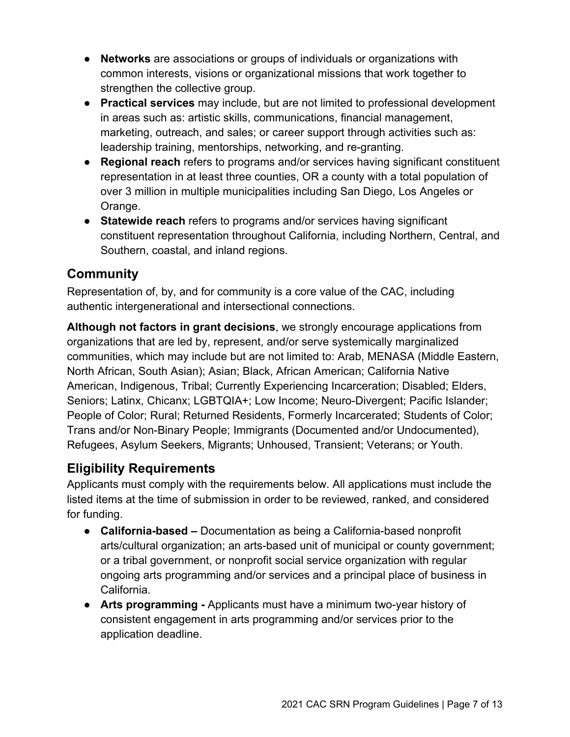- **Networks** are associations or groups of individuals or organizations with common interests, visions or organizational missions that work together to strengthen the collective group.
- **Practical services** may include, but are not limited to professional development in areas such as: artistic skills, communications, financial management, marketing, outreach, and sales; or career support through activities such as: leadership training, mentorships, networking, and re-granting.
- **Regional reach** refers to programs and/or services having significant constituent representation in at least three counties, OR a county with a total population of over 3 million in multiple municipalities including San Diego, Los Angeles or Orange.
- **Statewide reach** refers to programs and/or services having significant constituent representation throughout California, including Northern, Central, and Southern, coastal, and inland regions.

# **Community**

Representation of, by, and for community is a core value of the CAC, including authentic intergenerational and intersectional connections.

**Although not factors in grant decisions**, we strongly encourage applications from organizations that are led by, represent, and/or serve systemically marginalized communities, which may include but are not limited to: Arab, MENASA (Middle Eastern, North African, South Asian); Asian; Black, African American; California Native American, Indigenous, Tribal; Currently Experiencing Incarceration; Disabled; Elders, Seniors; Latinx, Chicanx; LGBTQIA+; Low Income; Neuro-Divergent; Pacific Islander; People of Color; Rural; Returned Residents, Formerly Incarcerated; Students of Color; Trans and/or Non-Binary People; Immigrants (Documented and/or Undocumented), Refugees, Asylum Seekers, Migrants; Unhoused, Transient; Veterans; or Youth.

# **Eligibility Requirements**

Applicants must comply with the requirements below. All applications must include the listed items at the time of submission in order to be reviewed, ranked, and considered for funding.

- **California-based –** Documentation as being a California-based nonprofit arts/cultural organization; an arts-based unit of municipal or county government; or a tribal government, or nonprofit social service organization with regular ongoing arts programming and/or services and a principal place of business in California.
- **Arts programming -** Applicants must have a minimum two-year history of consistent engagement in arts programming and/or services prior to the application deadline.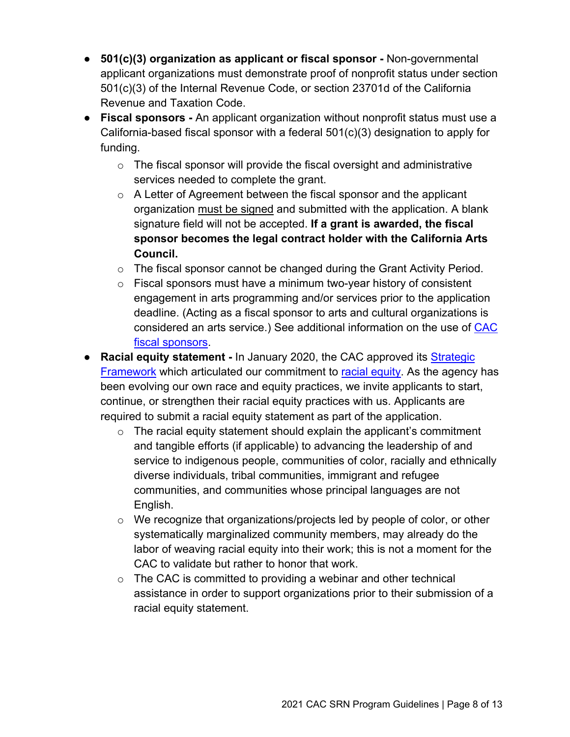- **501(c)(3) organization as applicant or fiscal sponsor -** Non-governmental applicant organizations must demonstrate proof of nonprofit status under section 501(c)(3) of the Internal Revenue Code, or section 23701d of the California Revenue and Taxation Code.
- **Fiscal sponsors -** An applicant organization without nonprofit status must use a California-based fiscal sponsor with a federal 501(c)(3) designation to apply for funding.
	- $\circ$  The fiscal sponsor will provide the fiscal oversight and administrative services needed to complete the grant.
	- o A Letter of Agreement between the fiscal sponsor and the applicant organization must be signed and submitted with the application. A blank signature field will not be accepted. **If a grant is awarded, the fiscal sponsor becomes the legal contract holder with the California Arts Council.**
	- $\circ$  The fiscal sponsor cannot be changed during the Grant Activity Period.
	- $\circ$  Fiscal sponsors must have a minimum two-year history of consistent engagement in arts programming and/or services prior to the application deadline. (Acting as a fiscal sponsor to arts and cultural organizations is considered an arts service.) See additional information on the use of [CAC](https://arts.ca.gov/wp-content/uploads/2020/11/CAC_2021FiscalSponsorPolicy.pdf)  [fiscal sponsors.](https://arts.ca.gov/wp-content/uploads/2020/11/CAC_2021FiscalSponsorPolicy.pdf)
- **Racial equity statement -** In January 2020, the CAC approved it[s](http://www.arts.ca.gov/aboutus/strategicframework.php) [Strategic](https://arts.ca.gov/about/how-we-think/)  [Framework](https://arts.ca.gov/about/how-we-think/) which articulated our commitment t[o](http://www.arts.ca.gov/aboutus/racialequity.php) [racial equity.](https://arts.ca.gov/about/racial-equity-statement/) As the agency has been evolving our own race and equity practices, we invite applicants to start, continue, or strengthen their racial equity practices with us. Applicants are required to submit a racial equity statement as part of the application.
	- $\circ$  The racial equity statement should explain the applicant's commitment and tangible efforts (if applicable) to advancing the leadership of and service to indigenous people, communities of color, racially and ethnically diverse individuals, tribal communities, immigrant and refugee communities, and communities whose principal languages are not English.
	- o We recognize that organizations/projects led by people of color, or other systematically marginalized community members, may already do the labor of weaving racial equity into their work; this is not a moment for the CAC to validate but rather to honor that work.
	- $\circ$  The CAC is committed to providing a webinar and other technical assistance in order to support organizations prior to their submission of a racial equity statement.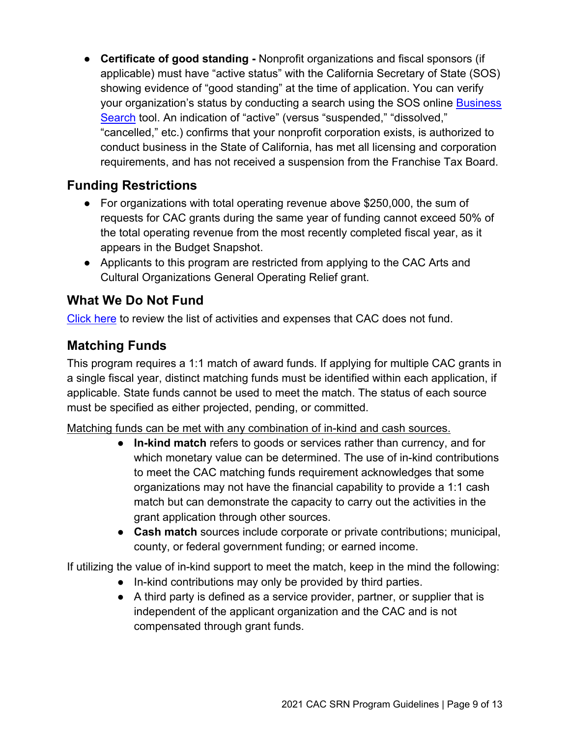● **Certificate of good standing -** Nonprofit organizations and fiscal sponsors (if applicable) must have "active status" with the California Secretary of State (SOS) showing evidence of "good standing" at the time of application. You can verify your organization's status by conducting a s[e](https://businesssearch.sos.ca.gov/)arch using the SOS online **Business** [Search](https://businesssearch.sos.ca.gov/) tool. An indication of "active" (versus "suspended," "dissolved," "cancelled," etc.) confirms that your nonprofit corporation exists, is authorized to conduct business in the State of California, has met all licensing and corporation requirements, and has not received a suspension from the Franchise Tax Board.

# **Funding Restrictions**

- For organizations with total operating revenue above \$250,000, the sum of requests for CAC grants during the same year of funding cannot exceed 50% of the total operating revenue from the most recently completed fiscal year, as it appears in the Budget Snapshot.
- Applicants to this program are restricted from applying to the CAC Arts and Cultural Organizations General Operating Relief grant.

# **What We Do Not Fund**

[Click here](https://arts.ca.gov/wp-content/uploads/2020/11/CAC_2021_WhatDoNotFund.pdf) to review the list of activities and expenses that CAC does not fund.

#### **Matching Funds**

This program requires a 1:1 match of award funds. If applying for multiple CAC grants in a single fiscal year, distinct matching funds must be identified within each application, if applicable. State funds cannot be used to meet the match. The status of each source must be specified as either projected, pending, or committed.

Matching funds can be met with any combination of in-kind and cash sources.

- **In-kind match** refers to goods or services rather than currency, and for which monetary value can be determined. The use of in-kind contributions to meet the CAC matching funds requirement acknowledges that some organizations may not have the financial capability to provide a 1:1 cash match but can demonstrate the capacity to carry out the activities in the grant application through other sources.
- **Cash match** sources include corporate or private contributions; municipal, county, or federal government funding; or earned income.

If utilizing the value of in-kind support to meet the match, keep in the mind the following:

- In-kind contributions may only be provided by third parties.
- A third party is defined as a service provider, partner, or supplier that is independent of the applicant organization and the CAC and is not compensated through grant funds.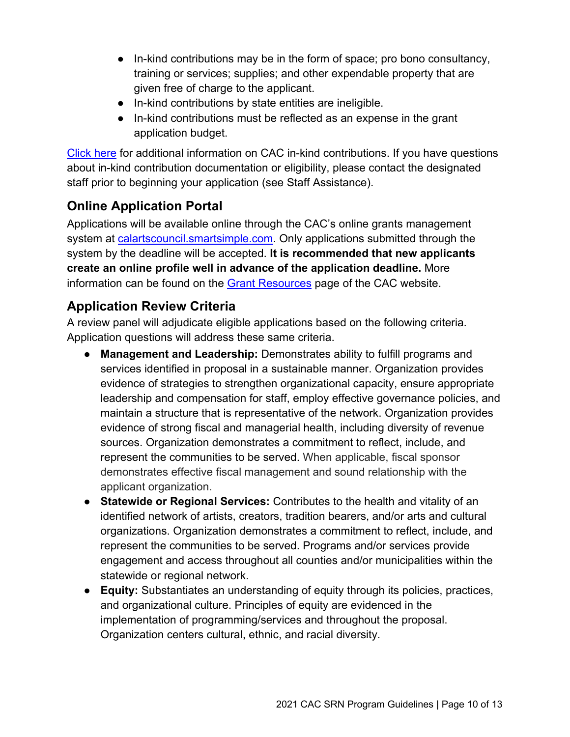- In-kind contributions may be in the form of space; pro bono consultancy, training or services; supplies; and other expendable property that are given free of charge to the applicant.
- In-kind contributions by state entities are ineligible.
- In-kind contributions must be reflected as an expense in the grant application budget.

[Click here](https://arts.ca.gov/wp-content/uploads/2020/12/CAC_2021_InKind.pdf) for additional information on CAC in-kind contributions. If you have questions about in-kind contribution documentation or eligibility, please contact the designated staff prior to beginning your application (see Staff Assistance).

# **Online Application Portal**

Applications will be available online through the CAC's online grants management system at [calartscouncil.smartsimple.com.](https://calartscouncil.smartsimple.com/s_Login.jsp) Only applications submitted through the system by the deadline will be accepted. **It is recommended that new applicants create an online profile well in advance of the application deadline.** More information can be found on the Grant [Resources](https://arts.ca.gov/grants/resources/) page of the CAC website.

# **Application Review Criteria**

A review panel will adjudicate eligible applications based on the following criteria. Application questions will address these same criteria.

- **Management and Leadership:** Demonstrates ability to fulfill programs and services identified in proposal in a sustainable manner. Organization provides evidence of strategies to strengthen organizational capacity, ensure appropriate leadership and compensation for staff, employ effective governance policies, and maintain a structure that is representative of the network. Organization provides evidence of strong fiscal and managerial health, including diversity of revenue sources. Organization demonstrates a commitment to reflect, include, and represent the communities to be served. When applicable, fiscal sponsor demonstrates effective fiscal management and sound relationship with the applicant organization.
- **Statewide or Regional Services:** Contributes to the health and vitality of an identified network of artists, creators, tradition bearers, and/or arts and cultural organizations. Organization demonstrates a commitment to reflect, include, and represent the communities to be served. Programs and/or services provide engagement and access throughout all counties and/or municipalities within the statewide or regional network.
- **Equity:** Substantiates an understanding of equity through its policies, practices, and organizational culture. Principles of equity are evidenced in the implementation of programming/services and throughout the proposal. Organization centers cultural, ethnic, and racial diversity.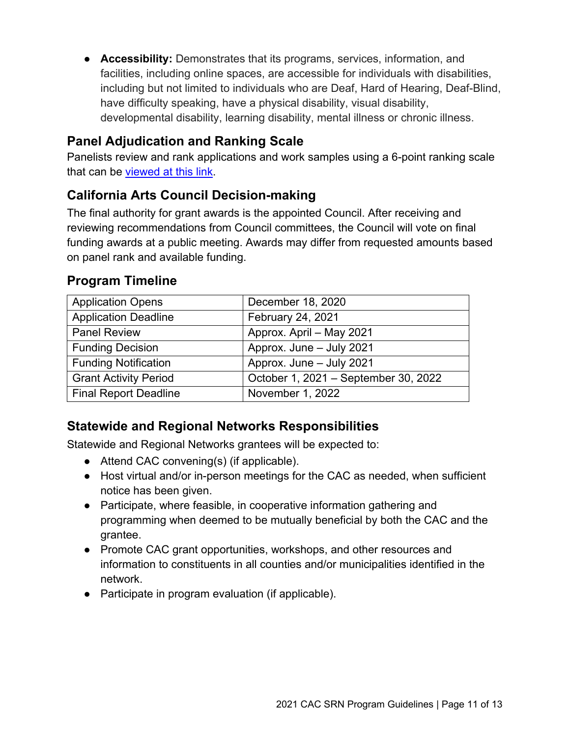● **Accessibility:** Demonstrates that its programs, services, information, and facilities, including online spaces, are accessible for individuals with disabilities, including but not limited to individuals who are Deaf, Hard of Hearing, Deaf-Blind, have difficulty speaking, have a physical disability, visual disability, developmental disability, learning disability, mental illness or chronic illness.

# **Panel Adjudication and Ranking Scale**

Panelists review and rank applications and work samples using a 6-point ranking scale that can be [viewed at this link.](https://arts.ca.gov/wp-content/uploads/2020/11/CAC_2021_RankingGuide.pdf)

# **California Arts Council Decision-making**

The final authority for grant awards is the appointed Council. After receiving and reviewing recommendations from Council committees, the Council will vote on final funding awards at a public meeting. Awards may differ from requested amounts based on panel rank and available funding.

| <b>Application Opens</b>     | December 18, 2020                    |
|------------------------------|--------------------------------------|
| <b>Application Deadline</b>  | <b>February 24, 2021</b>             |
| <b>Panel Review</b>          | Approx. April - May 2021             |
| <b>Funding Decision</b>      | Approx. June - July 2021             |
| <b>Funding Notification</b>  | Approx. June - July 2021             |
| <b>Grant Activity Period</b> | October 1, 2021 - September 30, 2022 |
| <b>Final Report Deadline</b> | November 1, 2022                     |

#### **Program Timeline**

# **Statewide and Regional Networks Responsibilities**

Statewide and Regional Networks grantees will be expected to:

- Attend CAC convening(s) (if applicable).
- Host virtual and/or in-person meetings for the CAC as needed, when sufficient notice has been given.
- Participate, where feasible, in cooperative information gathering and programming when deemed to be mutually beneficial by both the CAC and the grantee.
- Promote CAC grant opportunities, workshops, and other resources and information to constituents in all counties and/or municipalities identified in the network.
- Participate in program evaluation (if applicable).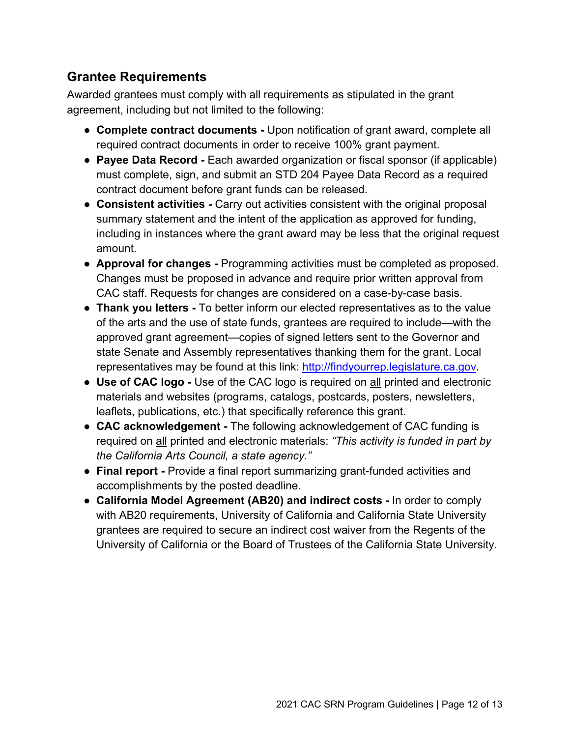# **Grantee Requirements**

Awarded grantees must comply with all requirements as stipulated in the grant agreement, including but not limited to the following:

- **Complete contract documents -** Upon notification of grant award, complete all required contract documents in order to receive 100% grant payment.
- **Payee Data Record** Each awarded organization or fiscal sponsor (if applicable) must complete, sign, and submit an STD 204 Payee Data Record as a required contract document before grant funds can be released.
- **Consistent activities -** Carry out activities consistent with the original proposal summary statement and the intent of the application as approved for funding, including in instances where the grant award may be less that the original request amount.
- **Approval for changes -** Programming activities must be completed as proposed. Changes must be proposed in advance and require prior written approval from CAC staff. Requests for changes are considered on a case-by-case basis.
- **Thank you letters -** To better inform our elected representatives as to the value of the arts and the use of state funds, grantees are required to include—with the approved grant agreement—copies of signed letters sent to the Governor and state Senate and Assembly representatives thanking them for the grant. Local representatives may be found at this link: [http://findyourrep.legislature.ca.gov.](http://findyourrep.legislature.ca.gov/)
- **Use of CAC logo -** Use of the CAC logo is required on all printed and electronic materials and websites (programs, catalogs, postcards, posters, newsletters, leaflets, publications, etc.) that specifically reference this grant.
- **CAC acknowledgement -** The following acknowledgement of CAC funding is required on all printed and electronic materials: *"This activity is funded in part by the California Arts Council, a state agency."*
- **Final report -** Provide a final report summarizing grant-funded activities and accomplishments by the posted deadline.
- **California Model Agreement (AB20) and indirect costs -** In order to comply with AB20 requirements, University of California and California State University grantees are required to secure an indirect cost waiver from the Regents of the University of California or the Board of Trustees of the California State University.